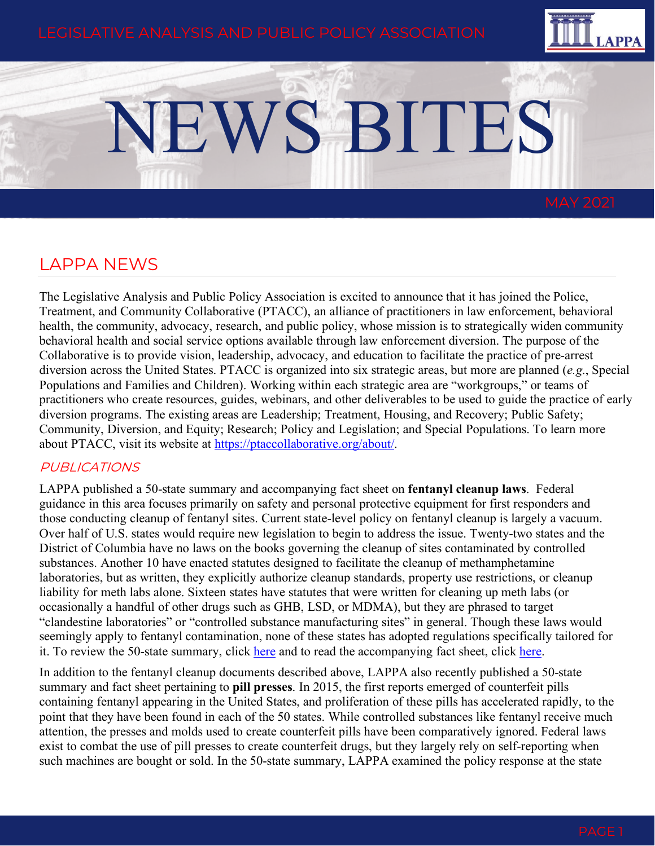

# NEWS BITES

# LAPPA NEWS

The Legislative Analysis and Public Policy Association is excited to announce that it has joined the Police, Treatment, and Community Collaborative (PTACC), an alliance of practitioners in law enforcement, behavioral health, the community, advocacy, research, and public policy, whose mission is to strategically widen community behavioral health and social service options available through law enforcement diversion. The purpose of the Collaborative is to provide vision, leadership, advocacy, and education to facilitate the practice of pre-arrest diversion across the United States. PTACC is organized into six strategic areas, but more are planned (*e.g*., Special Populations and Families and Children). Working within each strategic area are "workgroups," or teams of practitioners who create resources, guides, webinars, and other deliverables to be used to guide the practice of early diversion programs. The existing areas are Leadership; Treatment, Housing, and Recovery; Public Safety; Community, Diversion, and Equity; Research; Policy and Legislation; and Special Populations. To learn more about PTACC, visit its website at [https://ptaccollaborative.org/about/.](https://ptaccollaborative.org/about/)

### PUBLICATIONS

LAPPA published a 50-state summary and accompanying fact sheet on **fentanyl cleanup laws**. Federal guidance in this area focuses primarily on safety and personal protective equipment for first responders and those conducting cleanup of fentanyl sites. Current state-level policy on fentanyl cleanup is largely a vacuum. Over half of U.S. states would require new legislation to begin to address the issue. Twenty-two states and the District of Columbia have no laws on the books governing the cleanup of sites contaminated by controlled substances. Another 10 have enacted statutes designed to facilitate the cleanup of methamphetamine laboratories, but as written, they explicitly authorize cleanup standards, property use restrictions, or cleanup liability for meth labs alone. Sixteen states have statutes that were written for cleaning up meth labs (or occasionally a handful of other drugs such as GHB, LSD, or MDMA), but they are phrased to target "clandestine laboratories" or "controlled substance manufacturing sites" in general. Though these laws would seemingly apply to fentanyl contamination, none of these states has adopted regulations specifically tailored for it. To review the 50-state summary, click [here](https://legislativeanalysis.org/fentanyl-cleanup-summary-of-state-laws/) and to read the accompanying fact sheet, click [here.](https://legislativeanalysis.org/new-and-emerging-drugs-of-abuse-2/)

In addition to the fentanyl cleanup documents described above, LAPPA also recently published a 50-state summary and fact sheet pertaining to **pill presses**. In 2015, the first reports emerged of counterfeit pills containing fentanyl appearing in the United States, and proliferation of these pills has accelerated rapidly, to the point that they have been found in each of the 50 states. While controlled substances like fentanyl receive much attention, the presses and molds used to create counterfeit pills have been comparatively ignored. Federal laws exist to combat the use of pill presses to create counterfeit drugs, but they largely rely on self-reporting when such machines are bought or sold. In the 50-state summary, LAPPA examined the policy response at the state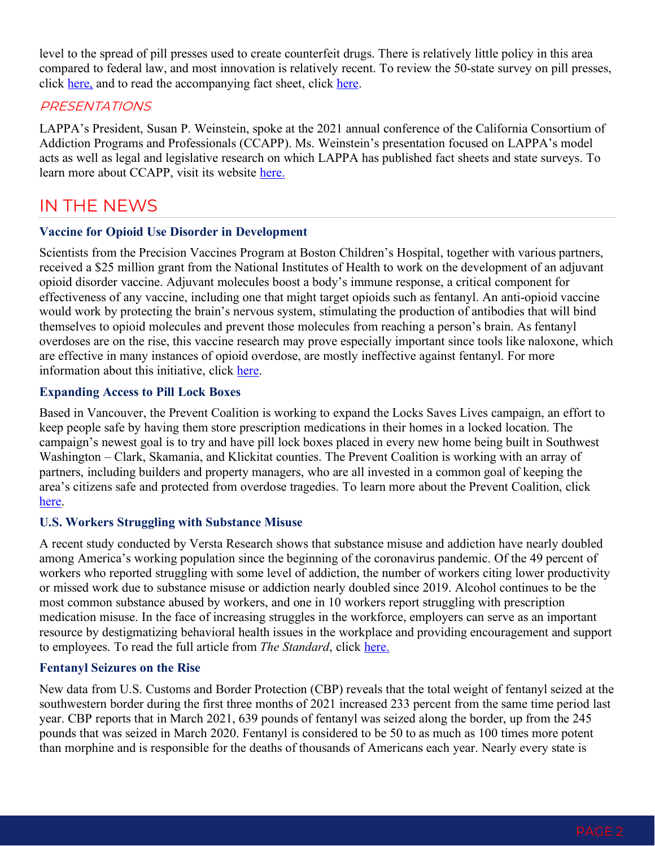level to the spread of pill presses used to create counterfeit drugs. There is relatively little policy in this area compared to federal law, and most innovation is relatively recent. To review the 50-state survey on pill presses, click [here,](https://legislativeanalysis.org/pill-presses-summary-of-state-laws/) and to read the accompanying fact sheet, click [here.](https://legislativeanalysis.org/pill-press-laws-a-forgotten-aspect-of-counterfeit-drug-making/)

#### PRESENTATIONS

LAPPA's President, Susan P. Weinstein, spoke at the 2021 annual conference of the California Consortium of Addiction Programs and Professionals (CCAPP). Ms. Weinstein's presentation focused on LAPPA's model acts as well as legal and legislative research on which LAPPA has published fact sheets and state surveys. To learn more about CCAPP, visit its website [here.](https://www.ccapp.us/)

# IN THE NEWS

#### **Vaccine for Opioid Use Disorder in Development**

Scientists from the Precision Vaccines Program at Boston Children's Hospital, together with various partners, received a \$25 million grant from the National Institutes of Health to work on the development of an adjuvant opioid disorder vaccine. Adjuvant molecules boost a body's immune response, a critical component for effectiveness of any vaccine, including one that might target opioids such as fentanyl. An anti-opioid vaccine would work by protecting the brain's nervous system, stimulating the production of antibodies that will bind themselves to opioid molecules and prevent those molecules from reaching a person's brain. As fentanyl overdoses are on the rise, this vaccine research may prove especially important since tools like naloxone, which are effective in many instances of opioid overdose, are mostly ineffective against fentanyl. For more information about this initiative, click [here.](https://www.news-medical.net/news/20210420/Scientists-receive-NIH-grant-to-develop-an-adjuvant-vaccine-for-opioid-use-disorder.aspx)

#### **Expanding Access to Pill Lock Boxes**

Based in Vancouver, the Prevent Coalition is working to expand the Locks Saves Lives campaign, an effort to keep people safe by having them store prescription medications in their homes in a locked location. The campaign's newest goal is to try and have pill lock boxes placed in every new home being built in Southwest Washington – Clark, Skamania, and Klickitat counties. The Prevent Coalition is working with an array of partners, including builders and property managers, who are all invested in a common goal of keeping the area's citizens safe and protected from overdose tragedies. To learn more about the Prevent Coalition, click [here.](https://www.preventcoalition.org/)

#### **U.S. Workers Struggling with Substance Misuse**

A recent study conducted by Versta Research shows that substance misuse and addiction have nearly doubled among America's working population since the beginning of the coronavirus pandemic. Of the 49 percent of workers who reported struggling with some level of addiction, the number of workers citing lower productivity or missed work due to substance misuse or addiction nearly doubled since 2019. Alcohol continues to be the most common substance abused by workers, and one in 10 workers report struggling with prescription medication misuse. In the face of increasing struggles in the workforce, employers can serve as an important resource by destigmatizing behavioral health issues in the workplace and providing encouragement and support to employees. To read the full article from *The Standard*, click [here.](https://standard.com/about-standard/newsroom/press-releases/49-us-workers-are-struggling-alcohol-and-substance-abuse)

#### **Fentanyl Seizures on the Rise**

New data from U.S. Customs and Border Protection (CBP) reveals that the total weight of fentanyl seized at the southwestern border during the first three months of 2021 increased 233 percent from the same time period last year. CBP reports that in March 2021, 639 pounds of fentanyl was seized along the border, up from the 245 pounds that was seized in March 2020. Fentanyl is considered to be 50 to as much as 100 times more potent than morphine and is responsible for the deaths of thousands of Americans each year. Nearly every state is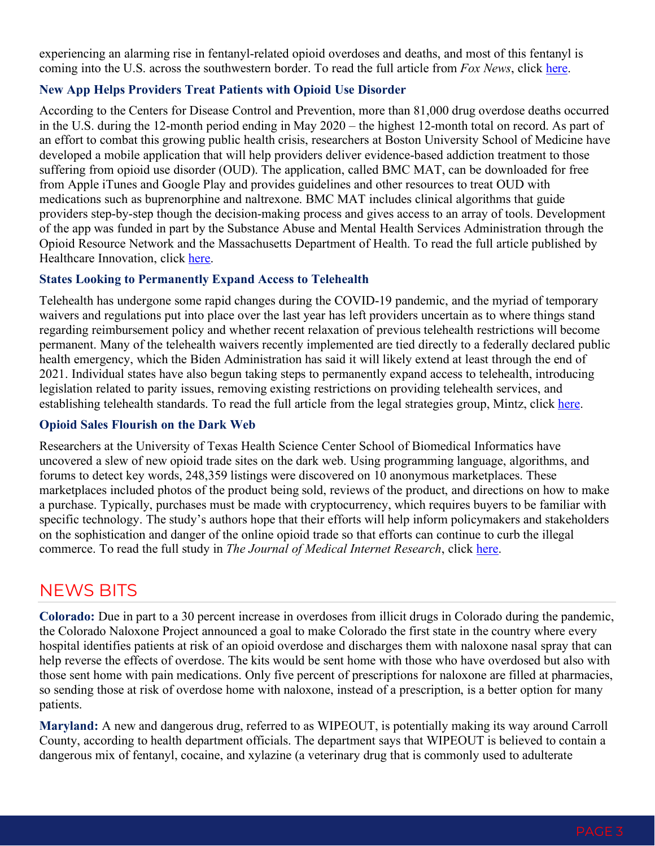experiencing an alarming rise in fentanyl-related opioid overdoses and deaths, and most of this fentanyl is coming into the U.S. across the southwestern border. To read the full article from *Fox News*, click [here.](https://www.foxnews.com/politics/border-crisis-mexico-southern-border-fentanyl-mccarthy)

#### **New App Helps Providers Treat Patients with Opioid Use Disorder**

According to the Centers for Disease Control and Prevention, more than 81,000 drug overdose deaths occurred in the U.S. during the 12-month period ending in May 2020 – the highest 12-month total on record. As part of an effort to combat this growing public health crisis, researchers at Boston University School of Medicine have developed a mobile application that will help providers deliver evidence-based addiction treatment to those suffering from opioid use disorder (OUD). The application, called BMC MAT, can be downloaded for free from Apple iTunes and Google Play and provides guidelines and other resources to treat OUD with medications such as buprenorphine and naltrexone. BMC MAT includes clinical algorithms that guide providers step-by-step though the decision-making process and gives access to an array of tools. Development of the app was funded in part by the Substance Abuse and Mental Health Services Administration through the Opioid Resource Network and the Massachusetts Department of Health. To read the full article published by Healthcare Innovation, click [here.](https://www.hcinnovationgroup.com/population-health-management/behavioral-health/news/21215695/app-designed-to-help-providers-treat-patients-with-opioid-use-disorder)

#### **States Looking to Permanently Expand Access to Telehealth**

Telehealth has undergone some rapid changes during the COVID-19 pandemic, and the myriad of temporary waivers and regulations put into place over the last year has left providers uncertain as to where things stand regarding reimbursement policy and whether recent relaxation of previous telehealth restrictions will become permanent. Many of the telehealth waivers recently implemented are tied directly to a federally declared public health emergency, which the Biden Administration has said it will likely extend at least through the end of 2021. Individual states have also begun taking steps to permanently expand access to telehealth, introducing legislation related to parity issues, removing existing restrictions on providing telehealth services, and establishing telehealth standards. To read the full article from the legal strategies group, Mintz, click [here.](https://www.mintz.com/insights-center/viewpoints/2146/2021-03-25-telehealth-update-states-move-permanently-expand-access)

#### **Opioid Sales Flourish on the Dark Web**

Researchers at the University of Texas Health Science Center School of Biomedical Informatics have uncovered a slew of new opioid trade sites on the dark web. Using programming language, algorithms, and forums to detect key words, 248,359 listings were discovered on 10 anonymous marketplaces. These marketplaces included photos of the product being sold, reviews of the product, and directions on how to make a purchase. Typically, purchases must be made with cryptocurrency, which requires buyers to be familiar with specific technology. The study's authors hope that their efforts will help inform policymakers and stakeholders on the sophistication and danger of the online opioid trade so that efforts can continue to curb the illegal commerce. To read the full study in *The Journal of Medical Internet Research*, click [here.](https://www.jmir.org/2021/2/e24486/)

## NEWS BITS

**Colorado:** Due in part to a 30 percent increase in overdoses from illicit drugs in Colorado during the pandemic, the Colorado Naloxone Project announced a goal to make Colorado the first state in the country where every hospital identifies patients at risk of an opioid overdose and discharges them with naloxone nasal spray that can help reverse the effects of overdose. The kits would be sent home with those who have overdosed but also with those sent home with pain medications. Only five percent of prescriptions for naloxone are filled at pharmacies, so sending those at risk of overdose home with naloxone, instead of a prescription, is a better option for many patients.

**Maryland:** A new and dangerous drug, referred to as WIPEOUT, is potentially making its way around Carroll County, according to health department officials. The department says that WIPEOUT is believed to contain a dangerous mix of fentanyl, cocaine, and xylazine (a veterinary drug that is commonly used to adulterate